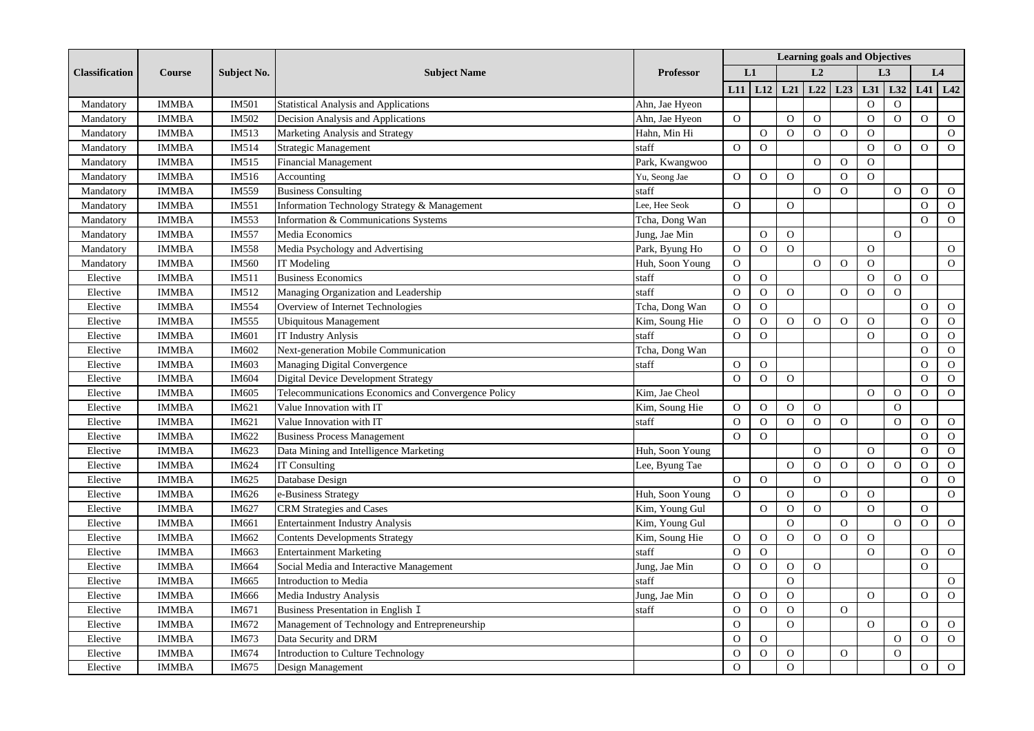| <b>Classification</b> | <b>Course</b> | <b>Subject No.</b> | <b>Subject Name</b>                                 | <b>Professor</b> | <b>Learning goals and Objectives</b> |                |                |                |                |                |                |                |                |  |
|-----------------------|---------------|--------------------|-----------------------------------------------------|------------------|--------------------------------------|----------------|----------------|----------------|----------------|----------------|----------------|----------------|----------------|--|
|                       |               |                    |                                                     |                  |                                      | L1             |                | L <sub>2</sub> |                | L <sub>3</sub> |                | L4             |                |  |
|                       |               |                    |                                                     |                  |                                      | $L11$ $L12$    | L21            | L22            | L23            | L31            | L32            |                | $L41$ $L42$    |  |
| Mandatory             | <b>IMMBA</b>  | <b>IM501</b>       | <b>Statistical Analysis and Applications</b>        | Ahn, Jae Hyeon   |                                      |                |                |                |                | $\mathbf{O}$   | $\mathbf{O}$   |                |                |  |
| Mandatory             | <b>IMMBA</b>  | IM502              | Decision Analysis and Applications                  | Ahn, Jae Hyeon   | $\mathbf O$                          |                | $\mathbf O$    | $\mathbf O$    |                | $\mathbf O$    | $\mathbf O$    | $\mathbf O$    | $\mathbf{O}$   |  |
| Mandatory             | <b>IMMBA</b>  | IM513              | Marketing Analysis and Strategy                     | Hahn, Min Hi     |                                      | $\overline{O}$ | $\overline{O}$ | $\Omega$       | $\Omega$       | $\overline{O}$ |                |                | $\mathbf{O}$   |  |
| Mandatory             | <b>IMMBA</b>  | IM514              | Strategic Management                                | staff            | $\overline{O}$                       | $\overline{O}$ |                |                |                | $\overline{O}$ | $\Omega$       | $\Omega$       | $\Omega$       |  |
| Mandatory             | <b>IMMBA</b>  | IM515              | <b>Financial Management</b>                         | Park, Kwangwoo   |                                      |                |                | $\Omega$       | $\Omega$       | $\overline{O}$ |                |                |                |  |
| Mandatory             | <b>IMMBA</b>  | IM516              | Accounting                                          | Yu, Seong Jae    | $\Omega$                             | $\mathbf{O}$   | $\Omega$       |                | $\Omega$       | $\Omega$       |                |                |                |  |
| Mandatory             | <b>IMMBA</b>  | IM559              | <b>Business Consulting</b>                          | staff            |                                      |                |                | $\overline{O}$ | $\Omega$       |                | $\mathbf O$    | $\mathbf O$    | $\mathbf O$    |  |
| Mandatory             | <b>IMMBA</b>  | IM551              | Information Technology Strategy & Management        | Lee, Hee Seok    | $\overline{O}$                       |                | $\overline{O}$ |                |                |                |                | $\Omega$       | $\mathbf{O}$   |  |
| Mandatory             | <b>IMMBA</b>  | IM553              | Information & Communications Systems                | Tcha, Dong Wan   |                                      |                |                |                |                |                |                | $\Omega$       | $\overline{O}$ |  |
| Mandatory             | <b>IMMBA</b>  | IM557              | Media Economics                                     | Jung, Jae Min    |                                      | $\mathbf O$    | $\overline{O}$ |                |                |                | $\overline{O}$ |                |                |  |
| Mandatory             | <b>IMMBA</b>  | IM558              | Media Psychology and Advertising                    | Park, Byung Ho   | $\mathbf{O}$                         | $\mathbf O$    | $\Omega$       |                |                | $\overline{O}$ |                |                | $\overline{O}$ |  |
| Mandatory             | <b>IMMBA</b>  | IM560              | IT Modeling                                         | Huh, Soon Young  | $\Omega$                             |                |                | $\Omega$       | $\overline{O}$ | $\Omega$       |                |                | $\overline{O}$ |  |
| Elective              | <b>IMMBA</b>  | IM511              | <b>Business Economics</b>                           | staff            | $\mathbf{O}$                         | $\Omega$       |                |                |                | $\Omega$       | $\mathbf{O}$   | $\Omega$       |                |  |
| Elective              | <b>IMMBA</b>  | IM512              | Managing Organization and Leadership                | staff            | $\mathbf O$                          | $\mathbf{O}$   | $\mathbf{O}$   |                | $\overline{O}$ | $\mathbf O$    | $\mathbf{O}$   |                |                |  |
| Elective              | <b>IMMBA</b>  | IM554              | Overview of Internet Technologies                   | Tcha, Dong Wan   | $\mathbf O$                          | $\mathbf O$    |                |                |                |                |                | $\Omega$       | $\overline{O}$ |  |
| Elective              | <b>IMMBA</b>  | IM555              | <b>Ubiquitous Management</b>                        | Kim, Soung Hie   | $\mathbf O$                          | $\mathbf{O}$   | $\mathcal{O}$  | $\mathbf{O}$   | $\Omega$       | $\mathbf O$    |                | $\Omega$       | $\mathbf{O}$   |  |
| Elective              | <b>IMMBA</b>  | IM601              | <b>IT Industry Anlysis</b>                          | staff            | $\overline{O}$                       | $\overline{O}$ |                |                |                | $\mathbf{O}$   |                | $\Omega$       | $\mathbf{O}$   |  |
| Elective              | <b>IMMBA</b>  | IM602              | Next-generation Mobile Communication                | Tcha, Dong Wan   |                                      |                |                |                |                |                |                | $\Omega$       | $\mathcal{O}$  |  |
| Elective              | <b>IMMBA</b>  | IM603              | Managing Digital Convergence                        | staff            | $\mathbf{O}$                         | $\mathbf{O}$   |                |                |                |                |                | $\Omega$       | $\mathbf{O}$   |  |
| Elective              | <b>IMMBA</b>  | IM604              | <b>Digital Device Development Strategy</b>          |                  | $\overline{O}$                       | $\mathbf O$    | $\mathbf{O}$   |                |                |                |                | $\Omega$       | $\mathbf{O}$   |  |
| Elective              | <b>IMMBA</b>  | IM605              | Telecommunications Economics and Convergence Policy | Kim, Jae Cheol   |                                      |                |                |                |                | $\mathbf O$    | $\mathbf{O}$   | $\Omega$       | $\mathbf{O}$   |  |
| Elective              | <b>IMMBA</b>  | IM621              | Value Innovation with IT                            | Kim, Soung Hie   | $\mathbf{O}$                         | $\mathbf{O}$   | $\mathbf{O}$   | $\mathbf{O}$   |                |                | $\overline{O}$ |                |                |  |
| Elective              | <b>IMMBA</b>  | IM621              | Value Innovation with IT                            | staff            | $\overline{O}$                       | $\overline{O}$ | $\Omega$       | $\overline{O}$ | $\overline{O}$ |                | $\overline{O}$ | $\Omega$       | $\mathcal{O}$  |  |
| Elective              | <b>IMMBA</b>  | IM622              | <b>Business Process Management</b>                  |                  | $\Omega$                             | $\Omega$       |                |                |                |                |                | $\Omega$       | $\mathbf{O}$   |  |
| Elective              | <b>IMMBA</b>  | IM623              | Data Mining and Intelligence Marketing              | Huh, Soon Young  |                                      |                |                | $\Omega$       |                | $\Omega$       |                | $\Omega$       | $\mathbf{O}$   |  |
| Elective              | <b>IMMBA</b>  | IM624              | <b>IT Consulting</b>                                | Lee, Byung Tae   |                                      |                | $\Omega$       | $\overline{O}$ | $\overline{O}$ | $\overline{O}$ | $\overline{O}$ | $\Omega$       | $\mathbf{O}$   |  |
| Elective              | <b>IMMBA</b>  | IM625              | Database Design                                     |                  | $\Omega$                             | $\mathbf{O}$   |                | $\Omega$       |                |                |                | $\Omega$       | $\overline{O}$ |  |
| Elective              | <b>IMMBA</b>  | IM626              | e-Business Strategy                                 | Huh, Soon Young  | $\mathbf{O}$                         |                | $\Omega$       |                | $\Omega$       | $\mathbf O$    |                |                | $\mathbf 0$    |  |
| Elective              | <b>IMMBA</b>  | IM627              | CRM Strategies and Cases                            | Kim, Young Gul   |                                      | $\mathbf O$    | $\Omega$       | $\Omega$       |                | $\Omega$       |                | $\Omega$       |                |  |
| Elective              | <b>IMMBA</b>  | IM661              | <b>Entertainment Industry Analysis</b>              | Kim, Young Gul   |                                      |                | $\mathbf{O}$   |                | $\Omega$       |                | $\mathbf{O}$   | $\Omega$       | $\mathcal O$   |  |
| Elective              | <b>IMMBA</b>  | IM662              | <b>Contents Developments Strategy</b>               | Kim, Soung Hie   | $\overline{O}$                       | $\mathbf{O}$   | $\overline{O}$ | $\Omega$       | $\Omega$       | $\overline{O}$ |                |                |                |  |
| Elective              | <b>IMMBA</b>  | IM663              | <b>Entertainment Marketing</b>                      | staff            | $\overline{O}$                       | $\mathbf O$    |                |                |                | $\overline{O}$ |                | $\Omega$       | $\mathbf{O}$   |  |
| Elective              | <b>IMMBA</b>  | IM664              | Social Media and Interactive Management             | Jung, Jae Min    | $\overline{O}$                       | $\mathbf O$    | $\overline{O}$ | $\overline{O}$ |                |                |                | $\Omega$       |                |  |
| Elective              | <b>IMMBA</b>  | IM665              | Introduction to Media                               | staff            |                                      |                | $\mathbf{O}$   |                |                |                |                |                | $\mathbf{O}$   |  |
| Elective              | <b>IMMBA</b>  | IM666              | Media Industry Analysis                             | Jung, Jae Min    | $\mathbf O$                          | ${\cal O}$     | $\Omega$       |                |                | $\overline{O}$ |                | $\overline{O}$ | $\mathbf{O}$   |  |
| Elective              | <b>IMMBA</b>  | IM671              | Business Presentation in English I                  | staff            | $\mathbf{O}$                         | $\mathbf O$    | $\Omega$       |                | $\Omega$       |                |                |                |                |  |
| Elective              | <b>IMMBA</b>  | IM672              | Management of Technology and Entrepreneurship       |                  | $\overline{O}$                       |                | $\mathbf{O}$   |                |                | $\Omega$       |                | $\Omega$       | $\mathbf{O}$   |  |
| Elective              | <b>IMMBA</b>  | IM673              | Data Security and DRM                               |                  | $\overline{O}$                       | $\Omega$       |                |                |                |                | $\Omega$       | $\Omega$       | $\overline{O}$ |  |
| Elective              | <b>IMMBA</b>  | IM674              | <b>Introduction to Culture Technology</b>           |                  | $\overline{O}$                       | $\overline{O}$ | $\Omega$       |                | $\Omega$       |                | $\overline{O}$ |                |                |  |
| Elective              | <b>IMMBA</b>  | IM675              | Design Management                                   |                  | $\Omega$                             |                | $\Omega$       |                |                |                |                | $\mathbf{O}$   | $\mathbf{O}$   |  |